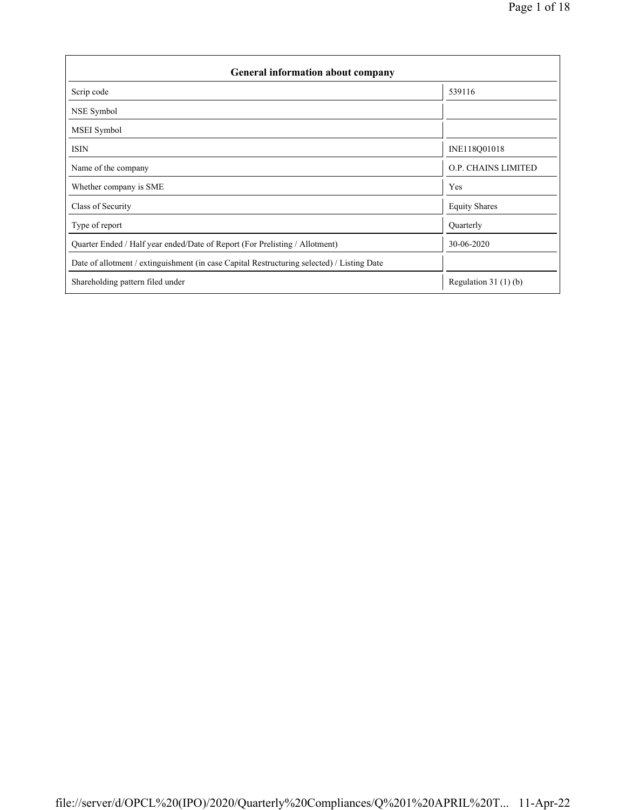| <b>General information about company</b>                                                   |                            |  |  |  |  |  |
|--------------------------------------------------------------------------------------------|----------------------------|--|--|--|--|--|
| Scrip code                                                                                 | 539116                     |  |  |  |  |  |
| NSE Symbol                                                                                 |                            |  |  |  |  |  |
| MSEI Symbol                                                                                |                            |  |  |  |  |  |
| <b>ISIN</b>                                                                                | INE118Q01018               |  |  |  |  |  |
| Name of the company                                                                        | <b>O.P. CHAINS LIMITED</b> |  |  |  |  |  |
| Whether company is SME                                                                     | Yes                        |  |  |  |  |  |
| Class of Security                                                                          | <b>Equity Shares</b>       |  |  |  |  |  |
| Type of report                                                                             | Quarterly                  |  |  |  |  |  |
| Quarter Ended / Half year ended/Date of Report (For Prelisting / Allotment)                | 30-06-2020                 |  |  |  |  |  |
| Date of allotment / extinguishment (in case Capital Restructuring selected) / Listing Date |                            |  |  |  |  |  |
| Shareholding pattern filed under                                                           | Regulation $31(1)(b)$      |  |  |  |  |  |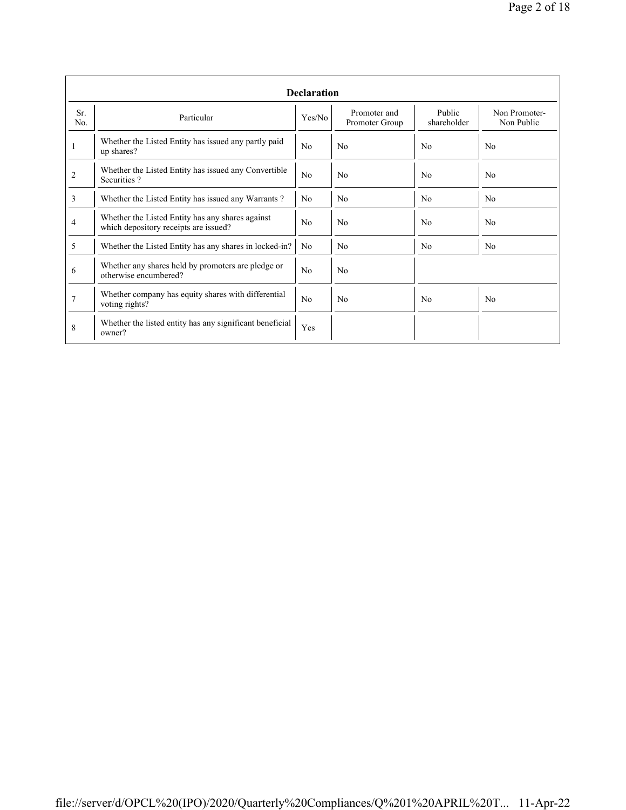|                | <b>Declaration</b>                                                                        |                |                                |                       |                             |  |  |  |  |  |
|----------------|-------------------------------------------------------------------------------------------|----------------|--------------------------------|-----------------------|-----------------------------|--|--|--|--|--|
| Sr.<br>No.     | Particular                                                                                | Yes/No         | Promoter and<br>Promoter Group | Public<br>shareholder | Non Promoter-<br>Non Public |  |  |  |  |  |
| 1              | Whether the Listed Entity has issued any partly paid<br>up shares?                        | No             | N <sub>0</sub>                 | No                    | N <sub>0</sub>              |  |  |  |  |  |
| $\overline{2}$ | Whether the Listed Entity has issued any Convertible<br>Securities?                       | No             | N <sub>0</sub>                 | No                    | N <sub>0</sub>              |  |  |  |  |  |
| 3              | Whether the Listed Entity has issued any Warrants?                                        | N <sub>0</sub> | No                             | N <sub>0</sub>        | N <sub>0</sub>              |  |  |  |  |  |
| 4              | Whether the Listed Entity has any shares against<br>which depository receipts are issued? | No             | N <sub>0</sub>                 | No                    | No                          |  |  |  |  |  |
| 5              | Whether the Listed Entity has any shares in locked-in?                                    | N <sub>0</sub> | N <sub>0</sub>                 | N <sub>0</sub>        | N <sub>0</sub>              |  |  |  |  |  |
| 6              | Whether any shares held by promoters are pledge or<br>otherwise encumbered?               | No             | N <sub>0</sub>                 |                       |                             |  |  |  |  |  |
| 7              | Whether company has equity shares with differential<br>voting rights?                     | No             | No                             | N <sub>0</sub>        | N <sub>0</sub>              |  |  |  |  |  |
| 8              | Whether the listed entity has any significant beneficial<br>owner?                        | Yes            |                                |                       |                             |  |  |  |  |  |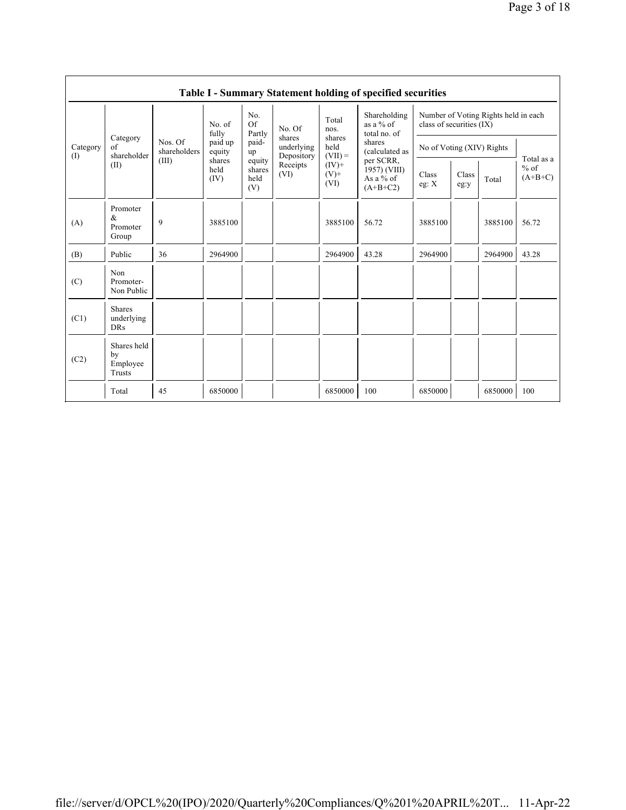|                 |                                           |                                  |                        |                                 |                                    |                                                            | Table I - Summary Statement holding of specified securities |                                                                  |               |         |                                   |  |
|-----------------|-------------------------------------------|----------------------------------|------------------------|---------------------------------|------------------------------------|------------------------------------------------------------|-------------------------------------------------------------|------------------------------------------------------------------|---------------|---------|-----------------------------------|--|
| Category<br>(1) | Category<br>of<br>shareholder<br>(II)     | Nos. Of<br>shareholders<br>(III) | No. of<br>fully        | No.<br>Of<br>Partly             | No. Of                             | Total<br>nos.                                              | Shareholding<br>as a $%$ of<br>total no. of                 | Number of Voting Rights held in each<br>class of securities (IX) |               |         |                                   |  |
|                 |                                           |                                  | paid up<br>equity      | paid-<br>up                     | shares<br>underlying<br>Depository | shares<br>held<br>$(VII) =$<br>$(IV)$ +<br>$(V)$ +<br>(VI) | shares<br>(calculated as                                    | No of Voting (XIV) Rights                                        |               |         | Total as a<br>$%$ of<br>$(A+B+C)$ |  |
|                 |                                           |                                  | shares<br>held<br>(IV) | equity<br>shares<br>held<br>(V) | Receipts<br>(VI)                   |                                                            | per SCRR,<br>1957) (VIII)<br>As a $%$ of<br>$(A+B+C2)$      | Class<br>eg: $X$                                                 | Class<br>eg:y | Total   |                                   |  |
| (A)             | Promoter<br>&<br>Promoter<br>Group        | 9                                | 3885100                |                                 |                                    | 3885100                                                    | 56.72                                                       | 3885100                                                          |               | 3885100 | 56.72                             |  |
| (B)             | Public                                    | 36                               | 2964900                |                                 |                                    | 2964900                                                    | 43.28                                                       | 2964900                                                          |               | 2964900 | 43.28                             |  |
| (C)             | Non<br>Promoter-<br>Non Public            |                                  |                        |                                 |                                    |                                                            |                                                             |                                                                  |               |         |                                   |  |
| (C1)            | <b>Shares</b><br>underlying<br><b>DRs</b> |                                  |                        |                                 |                                    |                                                            |                                                             |                                                                  |               |         |                                   |  |
| (C2)            | Shares held<br>by<br>Employee<br>Trusts   |                                  |                        |                                 |                                    |                                                            |                                                             |                                                                  |               |         |                                   |  |
|                 | Total                                     | 45                               | 6850000                |                                 |                                    | 6850000                                                    | 100                                                         | 6850000                                                          |               | 6850000 | 100                               |  |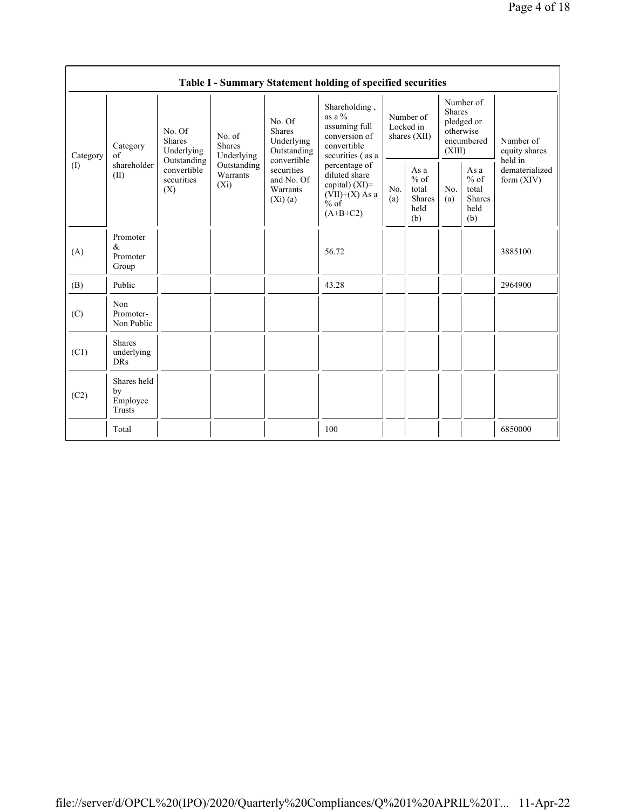|                                        |                                           |                                                                                   |                                                                             |                                                                                                                        | Table I - Summary Statement holding of specified securities                                     |                                        |                                                         |                                                                               |                                                         |                                           |  |
|----------------------------------------|-------------------------------------------|-----------------------------------------------------------------------------------|-----------------------------------------------------------------------------|------------------------------------------------------------------------------------------------------------------------|-------------------------------------------------------------------------------------------------|----------------------------------------|---------------------------------------------------------|-------------------------------------------------------------------------------|---------------------------------------------------------|-------------------------------------------|--|
| Category<br>$\left( \mathrm{I}\right)$ | Category<br>of<br>shareholder<br>(II)     | No. Of<br>Shares<br>Underlying<br>Outstanding<br>convertible<br>securities<br>(X) | No. of<br><b>Shares</b><br>Underlying<br>Outstanding<br>Warrants<br>$(X_i)$ | No. Of<br><b>Shares</b><br>Underlying<br>Outstanding<br>convertible<br>securities<br>and No. Of<br>Warrants<br>(Xi)(a) | Shareholding,<br>as a $%$<br>assuming full<br>conversion of<br>convertible<br>securities (as a  | Number of<br>Locked in<br>shares (XII) |                                                         | Number of<br><b>Shares</b><br>pledged or<br>otherwise<br>encumbered<br>(XIII) |                                                         | Number of<br>equity shares                |  |
|                                        |                                           |                                                                                   |                                                                             |                                                                                                                        | percentage of<br>diluted share<br>capital) $(XI)$ =<br>$(VII)+(X)$ As a<br>$%$ of<br>$(A+B+C2)$ | No.<br>(a)                             | As a<br>$%$ of<br>total<br><b>Shares</b><br>held<br>(b) | No.<br>(a)                                                                    | As a<br>$%$ of<br>total<br><b>Shares</b><br>held<br>(b) | held in<br>dematerialized<br>form $(XIV)$ |  |
| (A)                                    | Promoter<br>$\&$<br>Promoter<br>Group     |                                                                                   |                                                                             |                                                                                                                        | 56.72                                                                                           |                                        |                                                         |                                                                               |                                                         | 3885100                                   |  |
| (B)                                    | Public                                    |                                                                                   |                                                                             |                                                                                                                        | 43.28                                                                                           |                                        |                                                         |                                                                               |                                                         | 2964900                                   |  |
| (C)                                    | Non<br>Promoter-<br>Non Public            |                                                                                   |                                                                             |                                                                                                                        |                                                                                                 |                                        |                                                         |                                                                               |                                                         |                                           |  |
| (C1)                                   | <b>Shares</b><br>underlying<br><b>DRs</b> |                                                                                   |                                                                             |                                                                                                                        |                                                                                                 |                                        |                                                         |                                                                               |                                                         |                                           |  |
| (C2)                                   | Shares held<br>by<br>Employee<br>Trusts   |                                                                                   |                                                                             |                                                                                                                        |                                                                                                 |                                        |                                                         |                                                                               |                                                         |                                           |  |
|                                        | Total                                     |                                                                                   |                                                                             |                                                                                                                        | 100                                                                                             |                                        |                                                         |                                                                               |                                                         | 6850000                                   |  |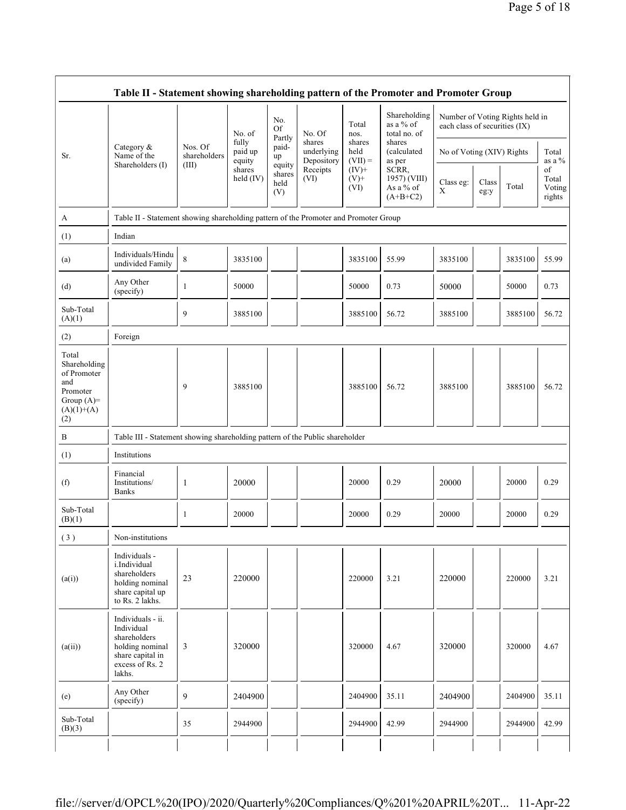|                                                                                                |                                                                                                                     |                         | No. of                     | No.<br>Of<br>Partly             | No. Of<br>shares<br>underlying<br>Depository | Total<br>nos.<br>shares<br>held<br>$(VII) =$ | Shareholding<br>as a % of<br>total no. of        | each class of securities (IX) |               | Number of Voting Rights held in |                                 |
|------------------------------------------------------------------------------------------------|---------------------------------------------------------------------------------------------------------------------|-------------------------|----------------------------|---------------------------------|----------------------------------------------|----------------------------------------------|--------------------------------------------------|-------------------------------|---------------|---------------------------------|---------------------------------|
| Sr.                                                                                            | Category $\&$<br>Name of the                                                                                        | Nos. Of<br>shareholders | fully<br>paid up<br>equity | paid-<br>up                     |                                              |                                              | shares<br>(calculated<br>as per                  | No of Voting (XIV) Rights     |               |                                 | Total<br>as a $%$               |
|                                                                                                | Shareholders (I)                                                                                                    | (III)                   | shares<br>held (IV)        | equity<br>shares<br>held<br>(V) | Receipts<br>(VI)                             | $(IV)+$<br>$(V)$ +<br>(VI)                   | SCRR,<br>1957) (VIII)<br>As a % of<br>$(A+B+C2)$ | Class eg:<br>$\mathbf X$      | Class<br>eg:y | Total                           | of<br>Total<br>Voting<br>rights |
| A                                                                                              | Table II - Statement showing shareholding pattern of the Promoter and Promoter Group                                |                         |                            |                                 |                                              |                                              |                                                  |                               |               |                                 |                                 |
| (1)                                                                                            | Indian                                                                                                              |                         |                            |                                 |                                              |                                              |                                                  |                               |               |                                 |                                 |
| (a)                                                                                            | Individuals/Hindu<br>undivided Family                                                                               | 8                       | 3835100                    |                                 |                                              | 3835100                                      | 55.99                                            | 3835100                       |               | 3835100                         | 55.99                           |
| (d)                                                                                            | Any Other<br>(specify)                                                                                              | 1                       | 50000                      |                                 |                                              | 50000                                        | 0.73                                             | 50000                         |               | 50000                           | 0.73                            |
| Sub-Total<br>(A)(1)                                                                            |                                                                                                                     | 9                       | 3885100                    |                                 |                                              | 3885100                                      | 56.72                                            | 3885100                       |               | 3885100                         | 56.72                           |
| (2)                                                                                            | Foreign                                                                                                             |                         |                            |                                 |                                              |                                              |                                                  |                               |               |                                 |                                 |
| Total<br>Shareholding<br>of Promoter<br>and<br>Promoter<br>Group $(A)=$<br>$(A)(1)+(A)$<br>(2) |                                                                                                                     | 9                       | 3885100                    |                                 |                                              | 3885100                                      | 56.72                                            | 3885100                       |               | 3885100                         | 56.72                           |
| B                                                                                              | Table III - Statement showing shareholding pattern of the Public shareholder                                        |                         |                            |                                 |                                              |                                              |                                                  |                               |               |                                 |                                 |
| (1)                                                                                            | Institutions                                                                                                        |                         |                            |                                 |                                              |                                              |                                                  |                               |               |                                 |                                 |
| (f)                                                                                            | Financial<br>Institutions/<br><b>Banks</b>                                                                          | 1                       | 20000                      |                                 |                                              | 20000                                        | 0.29                                             | 20000                         |               | 20000                           | 0.29                            |
| Sub-Total<br>(B)(1)                                                                            |                                                                                                                     | 1                       | 20000                      |                                 |                                              | 20000                                        | 0.29                                             | 20000                         |               | 20000                           | 0.29                            |
| (3)                                                                                            | Non-institutions                                                                                                    |                         |                            |                                 |                                              |                                              |                                                  |                               |               |                                 |                                 |
| (a(i))                                                                                         | Individuals -<br>i.Individual<br>shareholders<br>holding nominal<br>share capital up<br>to Rs. 2 lakhs.             | 23                      | 220000                     |                                 |                                              | 220000                                       | 3.21                                             | 220000                        |               | 220000                          | 3.21                            |
| (a(ii))                                                                                        | Individuals - ii.<br>Individual<br>shareholders<br>holding nominal<br>share capital in<br>excess of Rs. 2<br>lakhs. | 3                       | 320000                     |                                 |                                              | 320000                                       | 4.67                                             | 320000                        |               | 320000                          | 4.67                            |
| (e)                                                                                            | Any Other<br>(specify)                                                                                              | 9                       | 2404900                    |                                 |                                              | 2404900                                      | 35.11                                            | 2404900                       |               | 2404900                         | 35.11                           |
| Sub-Total<br>(B)(3)                                                                            |                                                                                                                     | 35                      | 2944900                    |                                 |                                              | 2944900                                      | 42.99                                            | 2944900                       |               | 2944900                         | 42.99                           |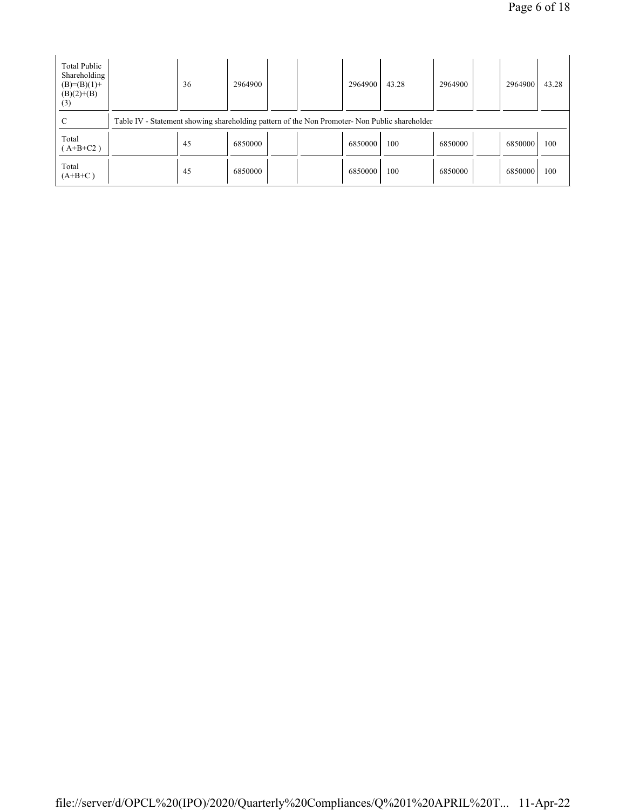| Total Public<br>Shareholding<br>$(B)=(B)(1)+$<br>$(B)(2)+(B)$<br>(3) | 36                                                                                            | 2964900 |  |  | 2964900 | 43.28 | 2964900 |  | 2964900 | 43.28 |
|----------------------------------------------------------------------|-----------------------------------------------------------------------------------------------|---------|--|--|---------|-------|---------|--|---------|-------|
| C                                                                    | Table IV - Statement showing shareholding pattern of the Non Promoter- Non Public shareholder |         |  |  |         |       |         |  |         |       |
| Total<br>$(A+B+C2)$                                                  | 45                                                                                            | 6850000 |  |  | 6850000 | 100   | 6850000 |  | 6850000 | 100   |
| Total<br>$(A+B+C)$                                                   | 45                                                                                            | 6850000 |  |  | 6850000 | 100   | 6850000 |  | 6850000 | 100   |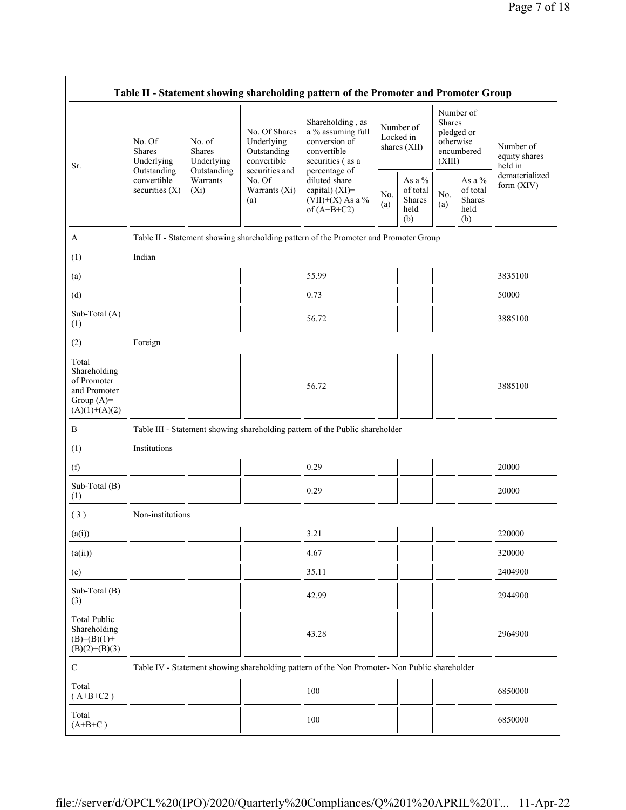| Table II - Statement showing shareholding pattern of the Promoter and Promoter Group    |                                                      |                                                      |                                                                             |                                                                                                                                                                                      |            |                                                |                         |                                                       |                                       |
|-----------------------------------------------------------------------------------------|------------------------------------------------------|------------------------------------------------------|-----------------------------------------------------------------------------|--------------------------------------------------------------------------------------------------------------------------------------------------------------------------------------|------------|------------------------------------------------|-------------------------|-------------------------------------------------------|---------------------------------------|
| Sr.                                                                                     | No. Of<br><b>Shares</b><br>Underlying<br>Outstanding | No. of<br><b>Shares</b><br>Underlying<br>Outstanding | No. Of Shares<br>Underlying<br>Outstanding<br>convertible<br>securities and | Shareholding, as<br>a % assuming full<br>conversion of<br>convertible<br>securities (as a<br>percentage of<br>diluted share<br>capital) (XI)=<br>$(VII)+(X)$ As a %<br>of $(A+B+C2)$ |            | Number of<br>Locked in<br>shares (XII)         | <b>Shares</b><br>(XIII) | Number of<br>pledged or<br>otherwise<br>encumbered    | Number of<br>equity shares<br>held in |
|                                                                                         | convertible<br>securities $(X)$                      | Warrants<br>$(X_i)$                                  | No. Of<br>Warrants (Xi)<br>(a)                                              |                                                                                                                                                                                      | No.<br>(a) | As a $\%$<br>of total<br>Shares<br>held<br>(b) | No.<br>(a)              | As a $\%$<br>of total<br><b>Shares</b><br>held<br>(b) | dematerialized<br>form (XIV)          |
| A                                                                                       |                                                      |                                                      |                                                                             | Table II - Statement showing shareholding pattern of the Promoter and Promoter Group                                                                                                 |            |                                                |                         |                                                       |                                       |
| (1)                                                                                     | Indian                                               |                                                      |                                                                             |                                                                                                                                                                                      |            |                                                |                         |                                                       |                                       |
| (a)                                                                                     |                                                      |                                                      |                                                                             | 55.99                                                                                                                                                                                |            |                                                |                         |                                                       | 3835100                               |
| (d)                                                                                     |                                                      |                                                      |                                                                             | 0.73                                                                                                                                                                                 |            |                                                |                         |                                                       | 50000                                 |
| Sub-Total (A)<br>(1)                                                                    |                                                      |                                                      |                                                                             | 56.72                                                                                                                                                                                |            |                                                |                         |                                                       | 3885100                               |
| (2)                                                                                     | Foreign                                              |                                                      |                                                                             |                                                                                                                                                                                      |            |                                                |                         |                                                       |                                       |
| Total<br>Shareholding<br>of Promoter<br>and Promoter<br>Group $(A)=$<br>$(A)(1)+(A)(2)$ |                                                      |                                                      |                                                                             | 56.72                                                                                                                                                                                |            |                                                |                         |                                                       | 3885100                               |
| B                                                                                       |                                                      |                                                      |                                                                             | Table III - Statement showing shareholding pattern of the Public shareholder                                                                                                         |            |                                                |                         |                                                       |                                       |
| (1)                                                                                     | Institutions                                         |                                                      |                                                                             |                                                                                                                                                                                      |            |                                                |                         |                                                       |                                       |
| (f)                                                                                     |                                                      |                                                      |                                                                             | 0.29                                                                                                                                                                                 |            |                                                |                         |                                                       | 20000                                 |
| Sub-Total (B)<br>(1)                                                                    |                                                      |                                                      |                                                                             | 0.29                                                                                                                                                                                 |            |                                                |                         |                                                       | 20000                                 |
| (3)                                                                                     | Non-institutions                                     |                                                      |                                                                             |                                                                                                                                                                                      |            |                                                |                         |                                                       |                                       |
| (a(i))                                                                                  |                                                      |                                                      |                                                                             | 3.21                                                                                                                                                                                 |            |                                                |                         |                                                       | 220000                                |
| (a(ii))                                                                                 |                                                      |                                                      |                                                                             | 4.67                                                                                                                                                                                 |            |                                                |                         |                                                       | 320000                                |
| (e)                                                                                     |                                                      |                                                      |                                                                             | 35.11                                                                                                                                                                                |            |                                                |                         |                                                       | 2404900                               |
| Sub-Total (B)<br>(3)                                                                    |                                                      |                                                      |                                                                             | 42.99                                                                                                                                                                                |            |                                                |                         |                                                       | 2944900                               |
| <b>Total Public</b><br>Shareholding<br>$(B)= (B)(1) +$<br>$(B)(2)+(B)(3)$               |                                                      |                                                      |                                                                             | 43.28                                                                                                                                                                                |            |                                                |                         |                                                       | 2964900                               |
| $\mathbf C$                                                                             |                                                      |                                                      |                                                                             | Table IV - Statement showing shareholding pattern of the Non Promoter- Non Public shareholder                                                                                        |            |                                                |                         |                                                       |                                       |
| Total<br>$(A+B+C2)$                                                                     |                                                      |                                                      |                                                                             | 100                                                                                                                                                                                  |            |                                                |                         |                                                       | 6850000                               |
| Total<br>$(A+B+C)$                                                                      |                                                      |                                                      |                                                                             | 100                                                                                                                                                                                  |            |                                                |                         |                                                       | 6850000                               |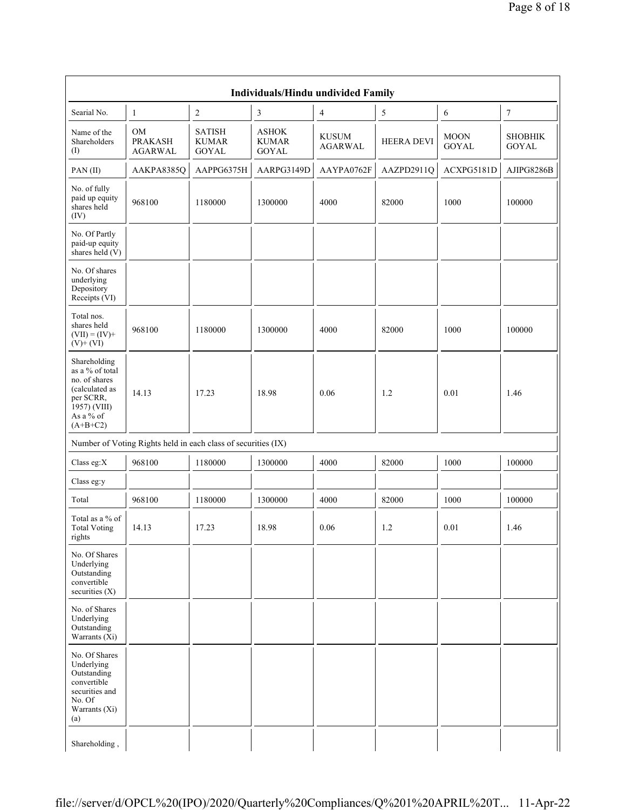|                                                                                                                            | Individuals/Hindu undivided Family                            |                                               |                                       |                                |                   |                             |                                |  |  |  |
|----------------------------------------------------------------------------------------------------------------------------|---------------------------------------------------------------|-----------------------------------------------|---------------------------------------|--------------------------------|-------------------|-----------------------------|--------------------------------|--|--|--|
| Searial No.                                                                                                                | $\mathbf{1}$                                                  | $\sqrt{2}$                                    | $\mathfrak z$                         | $\overline{4}$                 | 5                 | 6                           | $\tau$                         |  |  |  |
| Name of the<br>Shareholders<br>(I)                                                                                         | OM<br><b>PRAKASH</b><br><b>AGARWAL</b>                        | <b>SATISH</b><br><b>KUMAR</b><br><b>GOYAL</b> | <b>ASHOK</b><br><b>KUMAR</b><br>GOYAL | <b>KUSUM</b><br><b>AGARWAL</b> | <b>HEERA DEVI</b> | <b>MOON</b><br><b>GOYAL</b> | <b>SHOBHIK</b><br><b>GOYAL</b> |  |  |  |
| PAN(II)                                                                                                                    | AAKPA8385Q                                                    | AAPPG6375H                                    | AARPG3149D                            | AAYPA0762F                     | AAZPD2911Q        | ACXPG5181D                  | AJIPG8286B                     |  |  |  |
| No. of fully<br>paid up equity<br>shares held<br>(IV)                                                                      | 968100                                                        | 1180000                                       | 1300000                               | 4000                           | 82000             | 1000                        | 100000                         |  |  |  |
| No. Of Partly<br>paid-up equity<br>shares held $(V)$                                                                       |                                                               |                                               |                                       |                                |                   |                             |                                |  |  |  |
| No. Of shares<br>underlying<br>Depository<br>Receipts (VI)                                                                 |                                                               |                                               |                                       |                                |                   |                             |                                |  |  |  |
| Total nos.<br>shares held<br>$(VII) = (IV) +$<br>$(V)$ + $(VI)$                                                            | 968100                                                        | 1180000                                       | 1300000                               | 4000                           | 82000             | 1000                        | 100000                         |  |  |  |
| Shareholding<br>as a % of total<br>no. of shares<br>(calculated as<br>per SCRR,<br>1957) (VIII)<br>As a % of<br>$(A+B+C2)$ | 14.13                                                         | 17.23                                         | 18.98                                 | 0.06                           | 1.2               | 0.01                        | 1.46                           |  |  |  |
|                                                                                                                            | Number of Voting Rights held in each class of securities (IX) |                                               |                                       |                                |                   |                             |                                |  |  |  |
| Class eg:X                                                                                                                 | 968100                                                        | 1180000                                       | 1300000                               | 4000                           | 82000             | 1000                        | 100000                         |  |  |  |
| Class eg:y                                                                                                                 |                                                               |                                               |                                       |                                |                   |                             |                                |  |  |  |
| Total                                                                                                                      | 968100                                                        | 1180000                                       | 1300000                               | 4000                           | 82000             | 1000                        | 100000                         |  |  |  |
| Total as a $\%$ of<br><b>Total Voting</b><br>rights                                                                        | 14.13                                                         | 17.23                                         | 18.98                                 | 0.06                           | 1.2               | $0.01\,$                    | 1.46                           |  |  |  |
| No. Of Shares<br>Underlying<br>Outstanding<br>convertible<br>securities $(X)$                                              |                                                               |                                               |                                       |                                |                   |                             |                                |  |  |  |
| No. of Shares<br>Underlying<br>Outstanding<br>Warrants $(X_i)$                                                             |                                                               |                                               |                                       |                                |                   |                             |                                |  |  |  |
| No. Of Shares<br>Underlying<br>Outstanding<br>convertible<br>securities and<br>No. Of<br>Warrants (Xi)<br>(a)              |                                                               |                                               |                                       |                                |                   |                             |                                |  |  |  |
| Shareholding,                                                                                                              |                                                               |                                               |                                       |                                |                   |                             |                                |  |  |  |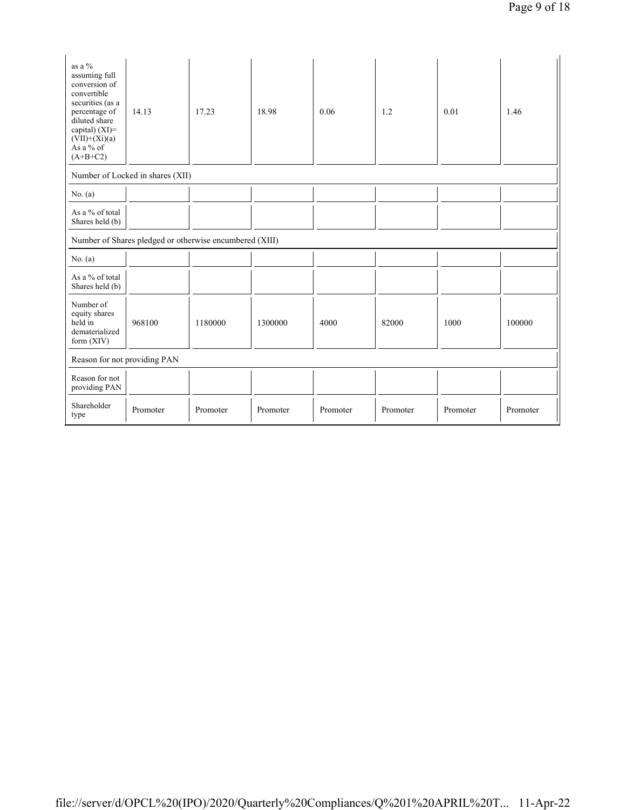| as a %<br>assuming full<br>conversion of<br>convertible<br>securities (as a<br>percentage of<br>diluted share<br>capital) $(XI)=$<br>$(VII)+(Xi)(a)$<br>As a % of<br>$(A+B+C2)$ | 14.13                                                   | 17.23    | 18.98    | 0.06     | 1.2      | 0.01     | 1.46     |  |
|---------------------------------------------------------------------------------------------------------------------------------------------------------------------------------|---------------------------------------------------------|----------|----------|----------|----------|----------|----------|--|
|                                                                                                                                                                                 | Number of Locked in shares (XII)                        |          |          |          |          |          |          |  |
| No. $(a)$                                                                                                                                                                       |                                                         |          |          |          |          |          |          |  |
| As a % of total<br>Shares held (b)                                                                                                                                              |                                                         |          |          |          |          |          |          |  |
|                                                                                                                                                                                 | Number of Shares pledged or otherwise encumbered (XIII) |          |          |          |          |          |          |  |
| No. (a)                                                                                                                                                                         |                                                         |          |          |          |          |          |          |  |
| As a % of total<br>Shares held (b)                                                                                                                                              |                                                         |          |          |          |          |          |          |  |
| Number of<br>equity shares<br>held in<br>dematerialized<br>form $(XIV)$                                                                                                         | 968100                                                  | 1180000  | 1300000  | 4000     | 82000    | 1000     | 100000   |  |
| Reason for not providing PAN                                                                                                                                                    |                                                         |          |          |          |          |          |          |  |
| Reason for not<br>providing PAN                                                                                                                                                 |                                                         |          |          |          |          |          |          |  |
| Shareholder<br>type                                                                                                                                                             | Promoter                                                | Promoter | Promoter | Promoter | Promoter | Promoter | Promoter |  |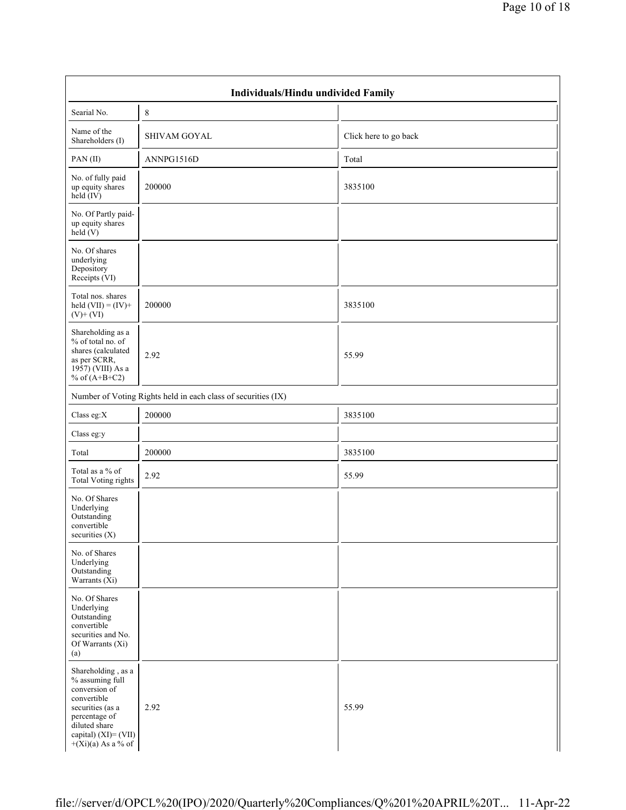| Individuals/Hindu undivided Family                                                                                                                                             |                                                               |                       |  |  |  |  |  |  |  |
|--------------------------------------------------------------------------------------------------------------------------------------------------------------------------------|---------------------------------------------------------------|-----------------------|--|--|--|--|--|--|--|
| Searial No.                                                                                                                                                                    | $\,8$                                                         |                       |  |  |  |  |  |  |  |
| Name of the<br>Shareholders (I)                                                                                                                                                | <b>SHIVAM GOYAL</b>                                           | Click here to go back |  |  |  |  |  |  |  |
| PAN(II)                                                                                                                                                                        | ANNPG1516D                                                    | Total                 |  |  |  |  |  |  |  |
| No. of fully paid<br>up equity shares<br>$\text{held} (IV)$                                                                                                                    | 200000                                                        | 3835100               |  |  |  |  |  |  |  |
| No. Of Partly paid-<br>up equity shares<br>held(V)                                                                                                                             |                                                               |                       |  |  |  |  |  |  |  |
| No. Of shares<br>underlying<br>Depository<br>Receipts (VI)                                                                                                                     |                                                               |                       |  |  |  |  |  |  |  |
| Total nos. shares<br>held $(VII) = (IV) +$<br>$(V)$ + $(VI)$                                                                                                                   | 200000                                                        | 3835100               |  |  |  |  |  |  |  |
| Shareholding as a<br>% of total no. of<br>shares (calculated<br>as per SCRR,<br>1957) (VIII) As a<br>% of $(A+B+C2)$                                                           | 2.92                                                          | 55.99                 |  |  |  |  |  |  |  |
|                                                                                                                                                                                | Number of Voting Rights held in each class of securities (IX) |                       |  |  |  |  |  |  |  |
| Class eg: $X$                                                                                                                                                                  | 200000                                                        | 3835100               |  |  |  |  |  |  |  |
| Class eg:y                                                                                                                                                                     |                                                               |                       |  |  |  |  |  |  |  |
| Total                                                                                                                                                                          | 200000                                                        | 3835100               |  |  |  |  |  |  |  |
| Total as a % of<br><b>Total Voting rights</b>                                                                                                                                  | 2.92                                                          | 55.99                 |  |  |  |  |  |  |  |
| No. Of Shares<br>Underlying<br>Outstanding<br>convertible<br>securities (X)                                                                                                    |                                                               |                       |  |  |  |  |  |  |  |
| No. of Shares<br>Underlying<br>Outstanding<br>Warrants $(X_i)$                                                                                                                 |                                                               |                       |  |  |  |  |  |  |  |
| No. Of Shares<br>Underlying<br>Outstanding<br>convertible<br>securities and No.<br>Of Warrants (Xi)<br>(a)                                                                     |                                                               |                       |  |  |  |  |  |  |  |
| Shareholding, as a<br>% assuming full<br>conversion of<br>convertible<br>securities (as a<br>percentage of<br>diluted share<br>capital) $(XI) = (VII)$<br>$+(Xi)(a)$ As a % of | 2.92                                                          | 55.99                 |  |  |  |  |  |  |  |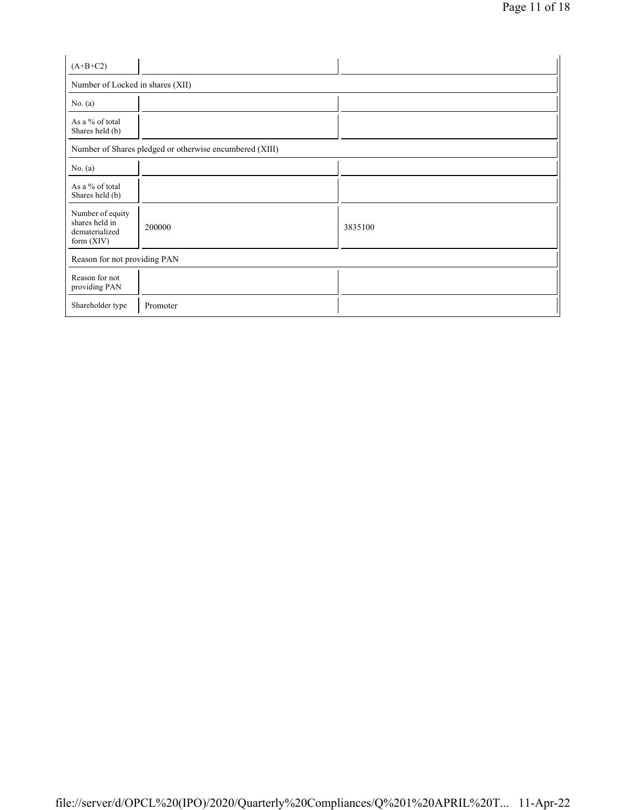| $(A+B+C2)$                                                         |                                                         |         |  |  |  |  |  |  |
|--------------------------------------------------------------------|---------------------------------------------------------|---------|--|--|--|--|--|--|
| Number of Locked in shares (XII)                                   |                                                         |         |  |  |  |  |  |  |
| No. $(a)$                                                          |                                                         |         |  |  |  |  |  |  |
| As a % of total<br>Shares held (b)                                 |                                                         |         |  |  |  |  |  |  |
|                                                                    | Number of Shares pledged or otherwise encumbered (XIII) |         |  |  |  |  |  |  |
| No. $(a)$                                                          |                                                         |         |  |  |  |  |  |  |
| As a % of total<br>Shares held (b)                                 |                                                         |         |  |  |  |  |  |  |
| Number of equity<br>shares held in<br>dematerialized<br>form (XIV) | 200000                                                  | 3835100 |  |  |  |  |  |  |
|                                                                    | Reason for not providing PAN                            |         |  |  |  |  |  |  |
| Reason for not<br>providing PAN                                    |                                                         |         |  |  |  |  |  |  |
| Shareholder type                                                   | Promoter                                                |         |  |  |  |  |  |  |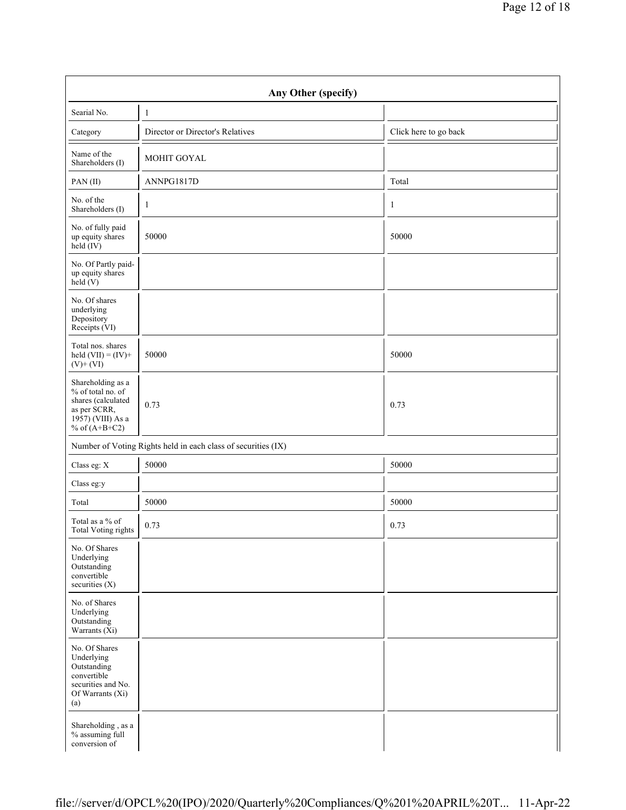| Any Other (specify)                                                                                                  |                                                               |                       |  |  |  |  |  |  |  |
|----------------------------------------------------------------------------------------------------------------------|---------------------------------------------------------------|-----------------------|--|--|--|--|--|--|--|
| Searial No.                                                                                                          | $\mathbf{1}$                                                  |                       |  |  |  |  |  |  |  |
| Category                                                                                                             | Director or Director's Relatives                              | Click here to go back |  |  |  |  |  |  |  |
| Name of the<br>Shareholders (I)                                                                                      | MOHIT GOYAL                                                   |                       |  |  |  |  |  |  |  |
| PAN(II)                                                                                                              | ANNPG1817D                                                    | Total                 |  |  |  |  |  |  |  |
| No. of the<br>Shareholders (I)                                                                                       | $\mathbf{1}$                                                  | 1                     |  |  |  |  |  |  |  |
| No. of fully paid<br>up equity shares<br>held (IV)                                                                   | 50000                                                         | 50000                 |  |  |  |  |  |  |  |
| No. Of Partly paid-<br>up equity shares<br>$\text{held}(V)$                                                          |                                                               |                       |  |  |  |  |  |  |  |
| No. Of shares<br>underlying<br>Depository<br>Receipts (VI)                                                           |                                                               |                       |  |  |  |  |  |  |  |
| Total nos. shares<br>held $(VII) = (IV) +$<br>$(V)$ + $(VI)$                                                         | 50000                                                         | 50000                 |  |  |  |  |  |  |  |
| Shareholding as a<br>% of total no. of<br>shares (calculated<br>as per SCRR,<br>1957) (VIII) As a<br>% of $(A+B+C2)$ | 0.73                                                          | 0.73                  |  |  |  |  |  |  |  |
|                                                                                                                      | Number of Voting Rights held in each class of securities (IX) |                       |  |  |  |  |  |  |  |
| Class eg: X                                                                                                          | 50000                                                         | 50000                 |  |  |  |  |  |  |  |
| Class eg:y                                                                                                           |                                                               |                       |  |  |  |  |  |  |  |
| Total                                                                                                                | 50000                                                         | 50000                 |  |  |  |  |  |  |  |
| Total as a % of<br><b>Total Voting rights</b>                                                                        | 0.73                                                          | 0.73                  |  |  |  |  |  |  |  |
| No. Of Shares<br>Underlying<br>Outstanding<br>convertible<br>securities (X)                                          |                                                               |                       |  |  |  |  |  |  |  |
| No. of Shares<br>Underlying<br>Outstanding<br>Warrants $(X_i)$                                                       |                                                               |                       |  |  |  |  |  |  |  |
| No. Of Shares<br>Underlying<br>Outstanding<br>convertible<br>securities and No.<br>Of Warrants (Xi)<br>(a)           |                                                               |                       |  |  |  |  |  |  |  |
| Shareholding, as a<br>% assuming full<br>conversion of                                                               |                                                               |                       |  |  |  |  |  |  |  |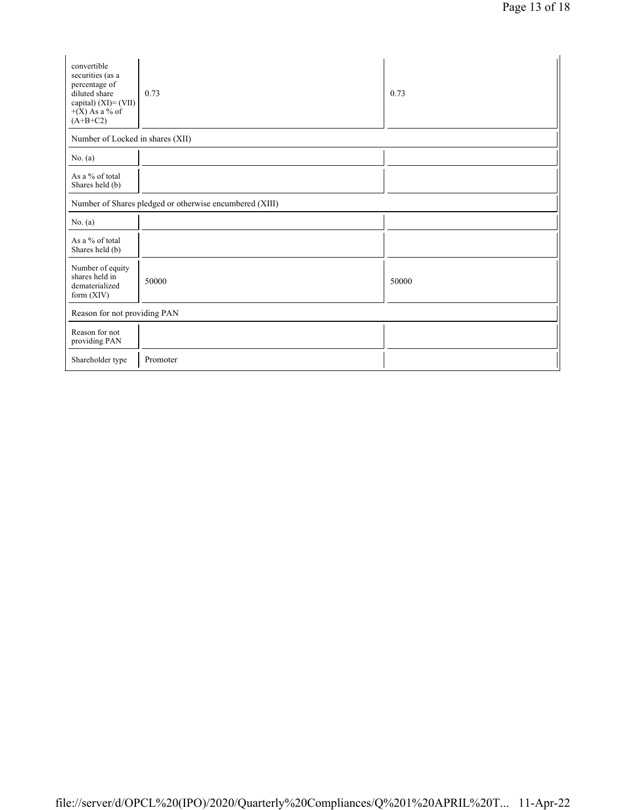| convertible<br>securities (as a<br>percentage of<br>diluted share<br>capital) $(XI) = (VII)$<br>$+(X)$ As a % of<br>$(A+B+C2)$ | 0.73     | 0.73  |  |
|--------------------------------------------------------------------------------------------------------------------------------|----------|-------|--|
| Number of Locked in shares (XII)                                                                                               |          |       |  |
| No. $(a)$                                                                                                                      |          |       |  |
| As a % of total<br>Shares held (b)                                                                                             |          |       |  |
| Number of Shares pledged or otherwise encumbered (XIII)                                                                        |          |       |  |
| No. $(a)$                                                                                                                      |          |       |  |
| As a % of total<br>Shares held (b)                                                                                             |          |       |  |
| Number of equity<br>shares held in<br>dematerialized<br>form $(XIV)$                                                           | 50000    | 50000 |  |
| Reason for not providing PAN                                                                                                   |          |       |  |
| Reason for not<br>providing PAN                                                                                                |          |       |  |
| Shareholder type                                                                                                               | Promoter |       |  |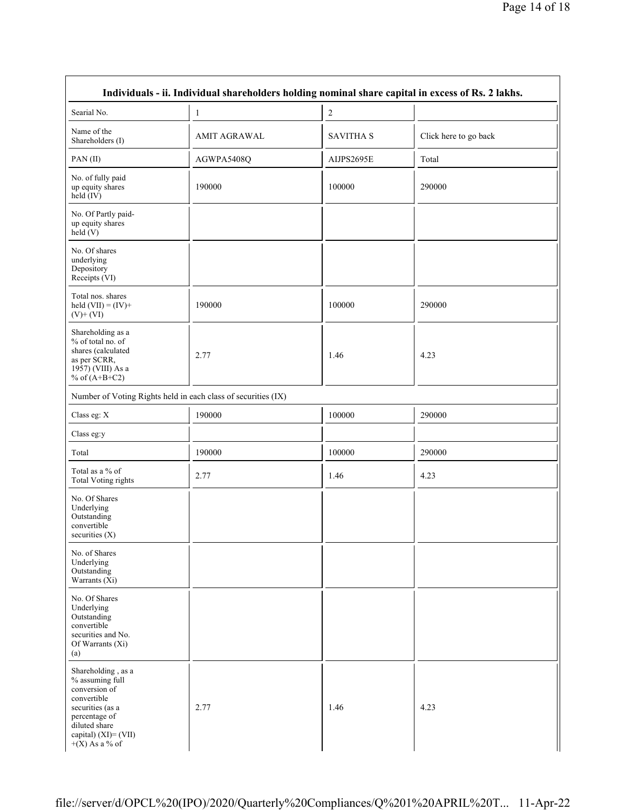| Individuals - ii. Individual shareholders holding nominal share capital in excess of Rs. 2 lakhs.                                                                          |                     |                  |                       |
|----------------------------------------------------------------------------------------------------------------------------------------------------------------------------|---------------------|------------------|-----------------------|
| Searial No.                                                                                                                                                                | $\mathbf{1}$        | 2                |                       |
| Name of the<br>Shareholders (I)                                                                                                                                            | <b>AMIT AGRAWAL</b> | <b>SAVITHA S</b> | Click here to go back |
| PAN(II)                                                                                                                                                                    | AGWPA5408Q          | AIJPS2695E       | Total                 |
| No. of fully paid<br>up equity shares<br>$held$ (IV)                                                                                                                       | 190000              | 100000           | 290000                |
| No. Of Partly paid-<br>up equity shares<br>held(V)                                                                                                                         |                     |                  |                       |
| No. Of shares<br>underlying<br>Depository<br>Receipts (VI)                                                                                                                 |                     |                  |                       |
| Total nos. shares<br>held $(VII) = (IV) +$<br>$(V)$ + $(VI)$                                                                                                               | 190000              | 100000           | 290000                |
| Shareholding as a<br>% of total no. of<br>shares (calculated<br>as per SCRR,<br>1957) (VIII) As a<br>% of $(A+B+C2)$                                                       | 2.77                | 1.46             | 4.23                  |
| Number of Voting Rights held in each class of securities (IX)                                                                                                              |                     |                  |                       |
| Class eg: X                                                                                                                                                                | 190000              | 100000           | 290000                |
| Class eg:y                                                                                                                                                                 |                     |                  |                       |
| Total                                                                                                                                                                      | 190000              | 100000           | 290000                |
| Total as a % of<br><b>Total Voting rights</b>                                                                                                                              | 2.77                | 1.46             | 4.23                  |
| No. Of Shares<br>Underlying<br>Outstanding<br>convertible<br>securities (X)                                                                                                |                     |                  |                       |
| No. of Shares<br>Underlying<br>Outstanding<br>Warrants $(X_i)$                                                                                                             |                     |                  |                       |
| No. Of Shares<br>Underlying<br>Outstanding<br>convertible<br>securities and No.<br>Of Warrants (Xi)<br>(a)                                                                 |                     |                  |                       |
| Shareholding, as a<br>% assuming full<br>conversion of<br>convertible<br>securities (as a<br>percentage of<br>diluted share<br>capital) $(XI) = (VII)$<br>$+(X)$ As a % of | 2.77                | 1.46             | 4.23                  |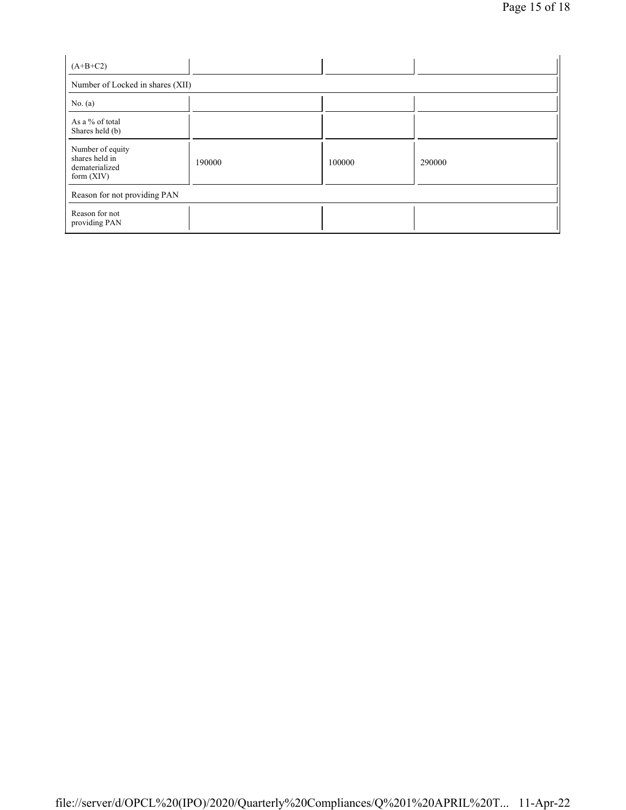| $(A+B+C2)$                                                           |        |        |        |  |
|----------------------------------------------------------------------|--------|--------|--------|--|
| Number of Locked in shares (XII)                                     |        |        |        |  |
| No. $(a)$                                                            |        |        |        |  |
| As a % of total<br>Shares held (b)                                   |        |        |        |  |
| Number of equity<br>shares held in<br>dematerialized<br>form $(XIV)$ | 190000 | 100000 | 290000 |  |
| Reason for not providing PAN                                         |        |        |        |  |
| Reason for not<br>providing PAN                                      |        |        |        |  |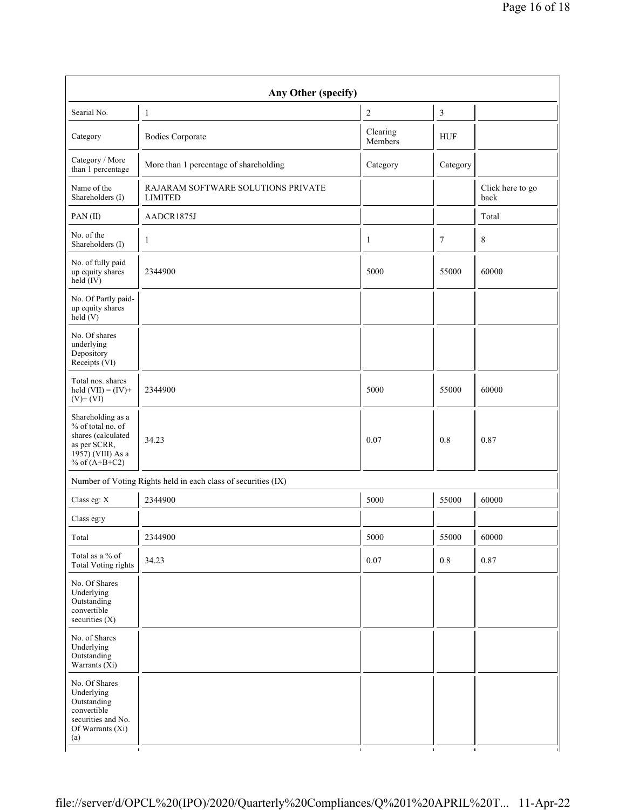| Any Other (specify)                                                                                                  |                                                               |                     |            |                          |
|----------------------------------------------------------------------------------------------------------------------|---------------------------------------------------------------|---------------------|------------|--------------------------|
| Searial No.                                                                                                          | $\mathbf{1}$                                                  | $\overline{c}$      | 3          |                          |
| Category                                                                                                             | <b>Bodies Corporate</b>                                       | Clearing<br>Members | <b>HUF</b> |                          |
| Category / More<br>than 1 percentage                                                                                 | More than 1 percentage of shareholding                        | Category            | Category   |                          |
| Name of the<br>Shareholders (I)                                                                                      | RAJARAM SOFTWARE SOLUTIONS PRIVATE<br><b>LIMITED</b>          |                     |            | Click here to go<br>back |
| $PAN$ (II)                                                                                                           | AADCR1875J                                                    |                     |            | Total                    |
| No. of the<br>Shareholders (I)                                                                                       | $\mathbf{1}$                                                  | 1                   | $\tau$     | 8                        |
| No. of fully paid<br>up equity shares<br>$\text{held}(\text{IV})$                                                    | 2344900                                                       | 5000                | 55000      | 60000                    |
| No. Of Partly paid-<br>up equity shares<br>held $(V)$                                                                |                                                               |                     |            |                          |
| No. Of shares<br>underlying<br>Depository<br>Receipts (VI)                                                           |                                                               |                     |            |                          |
| Total nos. shares<br>held $(VII) = (IV) +$<br>$(V)$ + $(VI)$                                                         | 2344900                                                       | 5000                | 55000      | 60000                    |
| Shareholding as a<br>% of total no. of<br>shares (calculated<br>as per SCRR,<br>1957) (VIII) As a<br>% of $(A+B+C2)$ | 34.23                                                         | 0.07                | 0.8        | 0.87                     |
|                                                                                                                      | Number of Voting Rights held in each class of securities (IX) |                     |            |                          |
| Class eg: X                                                                                                          | 2344900                                                       | 5000                | 55000      | 60000                    |
| Class eg:y                                                                                                           |                                                               |                     |            |                          |
| п<br>Total                                                                                                           | 2344900                                                       | п<br>5000           | 55000      | 60000                    |
| Total as a % of<br>Total Voting rights                                                                               | 34.23                                                         | 0.07                | 0.8        | 0.87                     |
| No. Of Shares<br>Underlying<br>Outstanding<br>convertible<br>securities (X)                                          |                                                               |                     |            |                          |
| No. of Shares<br>Underlying<br>Outstanding<br>Warrants $(X_i)$                                                       |                                                               |                     |            |                          |
| No. Of Shares<br>Underlying<br>Outstanding<br>convertible<br>securities and No.<br>Of Warrants (Xi)<br>(a)           |                                                               |                     |            |                          |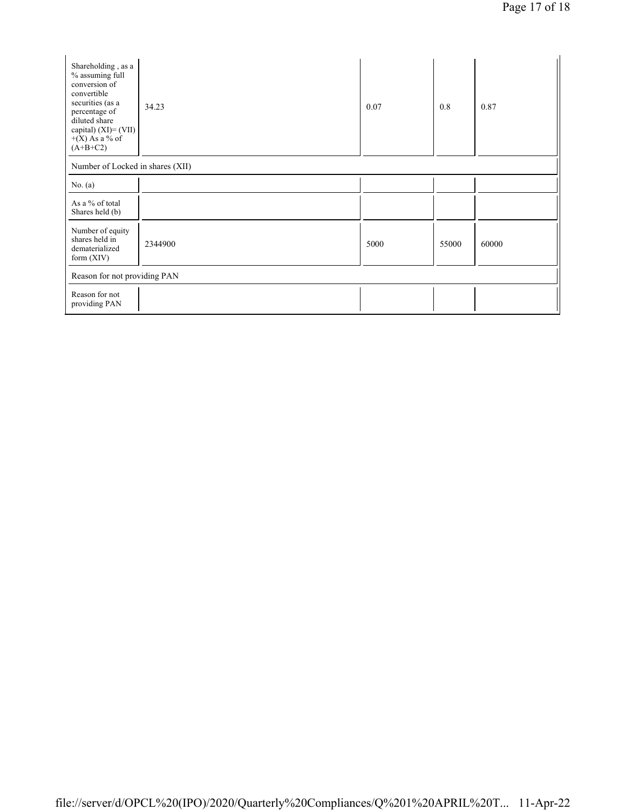| Shareholding, as a<br>% assuming full<br>conversion of<br>convertible<br>securities (as a<br>percentage of<br>diluted share<br>capital) (XI)= (VII)<br>$+(X)$ As a % of<br>$(A+B+C2)$ | 34.23   | 0.07 | 0.8   | 0.87  |
|---------------------------------------------------------------------------------------------------------------------------------------------------------------------------------------|---------|------|-------|-------|
| Number of Locked in shares (XII)                                                                                                                                                      |         |      |       |       |
| No. $(a)$                                                                                                                                                                             |         |      |       |       |
| As a % of total<br>Shares held (b)                                                                                                                                                    |         |      |       |       |
| Number of equity<br>shares held in<br>dematerialized<br>form $(XIV)$                                                                                                                  | 2344900 | 5000 | 55000 | 60000 |
| Reason for not providing PAN                                                                                                                                                          |         |      |       |       |
| Reason for not<br>providing PAN                                                                                                                                                       |         |      |       |       |